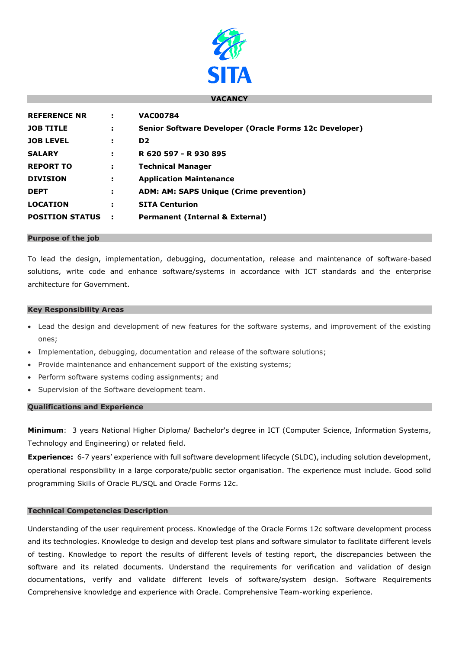

### **VACANCY**

| <b>REFERENCE NR</b>    | ÷  | <b>VAC00784</b>                                        |
|------------------------|----|--------------------------------------------------------|
| <b>JOB TITLE</b>       | ÷  | Senior Software Developer (Oracle Forms 12c Developer) |
| <b>JOB LEVEL</b>       | ÷  | D <sub>2</sub>                                         |
| <b>SALARY</b>          | ÷  | R 620 597 - R 930 895                                  |
| <b>REPORT TO</b>       | ÷. | <b>Technical Manager</b>                               |
| <b>DIVISION</b>        |    | <b>Application Maintenance</b>                         |
| <b>DEPT</b>            | ÷  | <b>ADM: AM: SAPS Unique (Crime prevention)</b>         |
| <b>LOCATION</b>        | ÷  | <b>SITA Centurion</b>                                  |
| <b>POSITION STATUS</b> | ÷  | <b>Permanent (Internal &amp; External)</b>             |
|                        |    |                                                        |

#### **Purpose of the job**

To lead the design, implementation, debugging, documentation, release and maintenance of software-based solutions, write code and enhance software/systems in accordance with ICT standards and the enterprise architecture for Government.

#### **Key Responsibility Areas**

- Lead the design and development of new features for the software systems, and improvement of the existing ones;
- Implementation, debugging, documentation and release of the software solutions;
- Provide maintenance and enhancement support of the existing systems;
- Perform software systems coding assignments; and
- Supervision of the Software development team.

# **Qualifications and Experience**

**Minimum**: 3 years National Higher Diploma/ Bachelor's degree in ICT (Computer Science, Information Systems, Technology and Engineering) or related field.

**Experience:** 6-7 years' experience with full software development lifecycle (SLDC), including solution development, operational responsibility in a large corporate/public sector organisation. The experience must include. Good solid programming Skills of Oracle PL/SQL and Oracle Forms 12c.

### **Technical Competencies Description**

Understanding of the user requirement process. Knowledge of the Oracle Forms 12c software development process and its technologies. Knowledge to design and develop test plans and software simulator to facilitate different levels of testing. Knowledge to report the results of different levels of testing report, the discrepancies between the software and its related documents. Understand the requirements for verification and validation of design documentations, verify and validate different levels of software/system design. Software Requirements Comprehensive knowledge and experience with Oracle. Comprehensive Team-working experience.